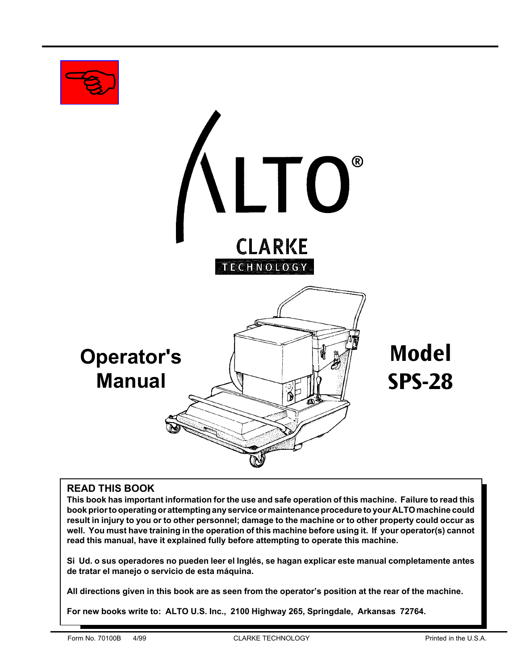

# **READ THIS BOOK**

**This book has important information for the use and safe operation of this machine. Failure to read this book prior to operating or attempting any service or maintenance procedure to your ALTO machine could result in injury to you or to other personnel; damage to the machine or to other property could occur as well. You must have training in the operation of this machine before using it. If your operator(s) cannot read this manual, have it explained fully before attempting to operate this machine.**

**Si Ud. o sus operadores no pueden leer el Inglés, se hagan explicar este manual completamente antes de tratar el manejo o servicio de esta máquina.**

**All directions given in this book are as seen from the operator's position at the rear of the machine.**

**For new books write to: ALTO U.S. Inc., 2100 Highway 265, Springdale, Arkansas 72764.**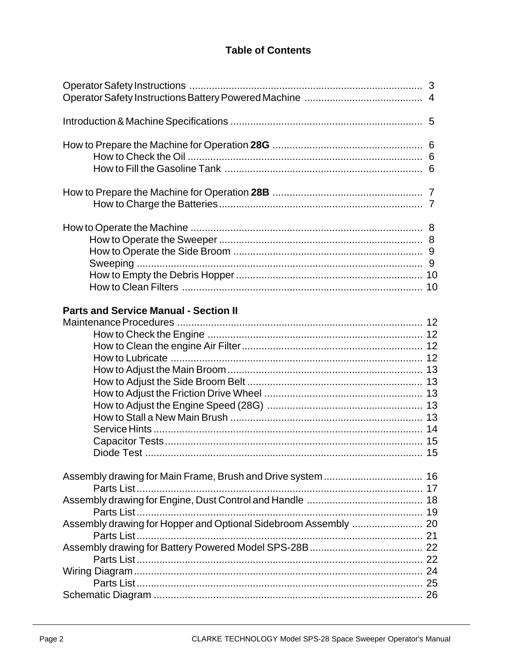# **Table of Contents**

| <b>Parts and Service Manual - Section II</b>                    |  |
|-----------------------------------------------------------------|--|
| Assembly drawing for Hopper and Optional Sidebroom Assembly  20 |  |
|                                                                 |  |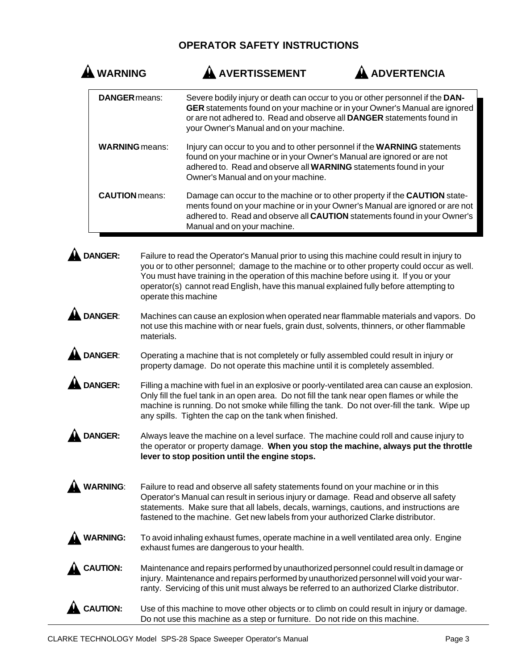# **OPERATOR SAFETY INSTRUCTIONS**

| <b>ARNING</b>         | <b>AVERTISSEMENT</b>                                                                                                                                                                                                                                           | ADVERTENCIA                                                                                                                                               |
|-----------------------|----------------------------------------------------------------------------------------------------------------------------------------------------------------------------------------------------------------------------------------------------------------|-----------------------------------------------------------------------------------------------------------------------------------------------------------|
| <b>DANGER</b> means:  | Severe bodily injury or death can occur to you or other personnel if the DAN-<br>or are not adhered to. Read and observe all <b>DANGER</b> statements found in<br>your Owner's Manual and on your machine.                                                     | GER statements found on your machine or in your Owner's Manual are ignored                                                                                |
| <b>WARNING</b> means: | Injury can occur to you and to other personnel if the WARNING statements<br>found on your machine or in your Owner's Manual are ignored or are not<br>adhered to. Read and observe all WARNING statements found in your<br>Owner's Manual and on your machine. |                                                                                                                                                           |
| <b>CAUTION</b> means: | Damage can occur to the machine or to other property if the <b>CAUTION</b> state-<br>Manual and on your machine.                                                                                                                                               | ments found on your machine or in your Owner's Manual are ignored or are not<br>adhered to. Read and observe all CAUTION statements found in your Owner's |

**A DANGER:** Failure to read the Operator's Manual prior to using this machine could result in injury to you or to other personnel; damage to the machine or to other property could occur as well. You must have training in the operation of this machine before using it. If you or your operator(s) cannot read English, have this manual explained fully before attempting to operate this machine

- **DANGER:** Machines can cause an explosion when operated near flammable materials and vapors. Do not use this machine with or near fuels, grain dust, solvents, thinners, or other flammable materials.
- **DANGER:** Operating a machine that is not completely or fully assembled could result in injury or property damage. Do not operate this machine until it is completely assembled.

**A DANGER:** Filling a machine with fuel in an explosive or poorly-ventilated area can cause an explosion. Only fill the fuel tank in an open area. Do not fill the tank near open flames or while the machine is running. Do not smoke while filling the tank. Do not over-fill the tank. Wipe up any spills. Tighten the cap on the tank when finished.

**A DANGER:** Always leave the machine on a level surface. The machine could roll and cause injury to the operator or property damage. **When you stop the machine, always put the throttle lever to stop position until the engine stops.**

- WARNING: Failure to read and observe all safety statements found on your machine or in this Operator's Manual can result in serious injury or damage. Read and observe all safety statements. Make sure that all labels, decals, warnings, cautions, and instructions are fastened to the machine. Get new labels from your authorized Clarke distributor.
- **WARNING:** To avoid inhaling exhaust fumes, operate machine in a well ventilated area only. Engine exhaust fumes are dangerous to your health.
- **CAUTION:** Maintenance and repairs performed by unauthorized personnel could result in damage or injury. Maintenance and repairs performed by unauthorized personnel will void your warranty. Servicing of this unit must always be referred to an authorized Clarke distributor.

**CAUTION:** Use of this machine to move other objects or to climb on could result in injury or damage. Do not use this machine as a step or furniture. Do not ride on this machine.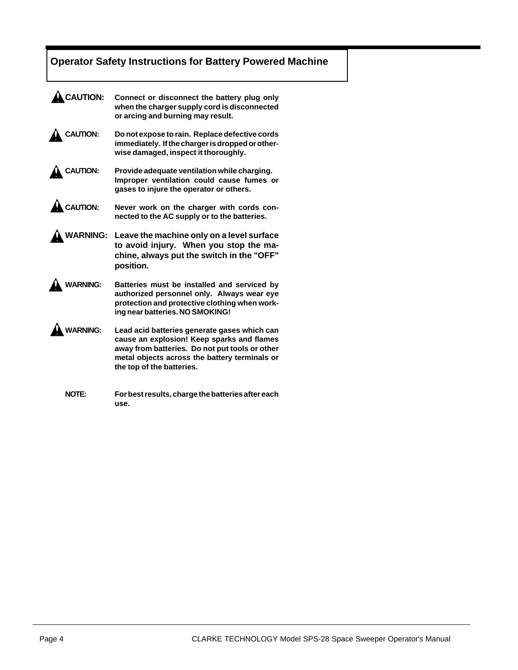# **Operator Safety Instructions for Battery Powered Machine**

| <b>CAUTION:</b> | Connect or disconnect the battery plug only<br>when the charger supply cord is disconnected<br>or arcing and burning may result.                                                                                           |
|-----------------|----------------------------------------------------------------------------------------------------------------------------------------------------------------------------------------------------------------------------|
| <b>CAUTION:</b> | Do not expose to rain. Replace defective cords<br>immediately. If the charger is dropped or other-<br>wise damaged, inspect it thoroughly.                                                                                 |
| <b>CAUTION:</b> | Provide adequate ventilation while charging.<br>Improper ventilation could cause fumes or<br>gases to injure the operator or others.                                                                                       |
| <b>CAUTION:</b> | Never work on the charger with cords con-<br>nected to the AC supply or to the batteries.                                                                                                                                  |
| <b>VARNING:</b> | Leave the machine only on a level surface<br>to avoid injury. When you stop the ma-<br>chine, always put the switch in the "OFF"<br>position.                                                                              |
| <b>/ARNING:</b> | Batteries must be installed and serviced by<br>authorized personnel only. Always wear eye<br>protection and protective clothing when work-<br>ing near batteries. NO SMOKING!                                              |
| <b>ARNING:</b>  | Lead acid batteries generate gases which can<br>cause an explosion! Keep sparks and flames<br>away from batteries. Do not put tools or other<br>metal objects across the battery terminals or<br>the top of the batteries. |
| <b>NOTE:</b>    | For best results, charge the batteries after each<br>use.                                                                                                                                                                  |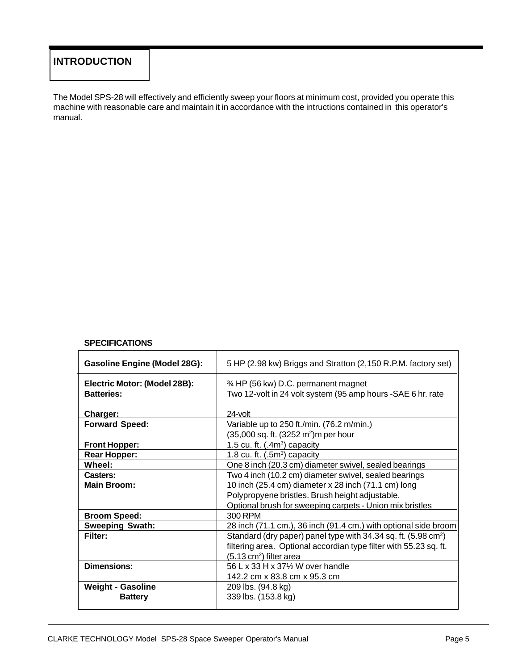# **INTRODUCTION**

The Model SPS-28 will effectively and efficiently sweep your floors at minimum cost, provided you operate this machine with reasonable care and maintain it in accordance with the intructions contained in this operator's manual.

#### **SPECIFICATIONS**

| <b>Gasoline Engine (Model 28G):</b>               | 5 HP (2.98 kw) Briggs and Stratton (2,150 R.P.M. factory set)                                        |  |
|---------------------------------------------------|------------------------------------------------------------------------------------------------------|--|
| Electric Motor: (Model 28B):<br><b>Batteries:</b> | 3⁄4 HP (56 kw) D.C. permanent magnet<br>Two 12-volt in 24 volt system (95 amp hours - SAE 6 hr. rate |  |
| Charger:                                          | $24$ -volt                                                                                           |  |
| <b>Forward Speed:</b>                             | Variable up to 250 ft./min. (76.2 m/min.)                                                            |  |
|                                                   | (35,000 sq. ft. (3252 m <sup>2</sup> )m per hour                                                     |  |
| <b>Front Hopper:</b>                              | 1.5 cu. ft. $(.4m3)$ capacity                                                                        |  |
| <b>Rear Hopper:</b>                               | 1.8 cu. ft. $(.5m3)$ capacity                                                                        |  |
| Wheel:                                            | One 8 inch (20.3 cm) diameter swivel, sealed bearings                                                |  |
| Casters:                                          | Two 4 inch (10.2 cm) diameter swivel, sealed bearings                                                |  |
| <b>Main Broom:</b>                                | 10 inch (25.4 cm) diameter x 28 inch (71.1 cm) long                                                  |  |
|                                                   | Polypropyene bristles. Brush height adjustable.                                                      |  |
|                                                   | Optional brush for sweeping carpets - Union mix bristles                                             |  |
| <b>Broom Speed:</b>                               | 300 RPM                                                                                              |  |
| <b>Sweeping Swath:</b>                            | 28 inch (71.1 cm.), 36 inch (91.4 cm.) with optional side broom                                      |  |
| Filter:                                           | Standard (dry paper) panel type with 34.34 sq. ft. (5.98 cm <sup>2</sup> )                           |  |
|                                                   | filtering area. Optional accordian type filter with 55.23 sq. ft.                                    |  |
|                                                   | $(5.13 \text{ cm}^2)$ filter area                                                                    |  |
| <b>Dimensions:</b>                                | 56 L x 33 H x 37% W over handle                                                                      |  |
|                                                   | 142.2 cm x 83.8 cm x 95.3 cm                                                                         |  |
| <b>Weight - Gasoline</b>                          | 209 lbs. (94.8 kg)                                                                                   |  |
| <b>Battery</b>                                    | 339 lbs. (153.8 kg)                                                                                  |  |
|                                                   |                                                                                                      |  |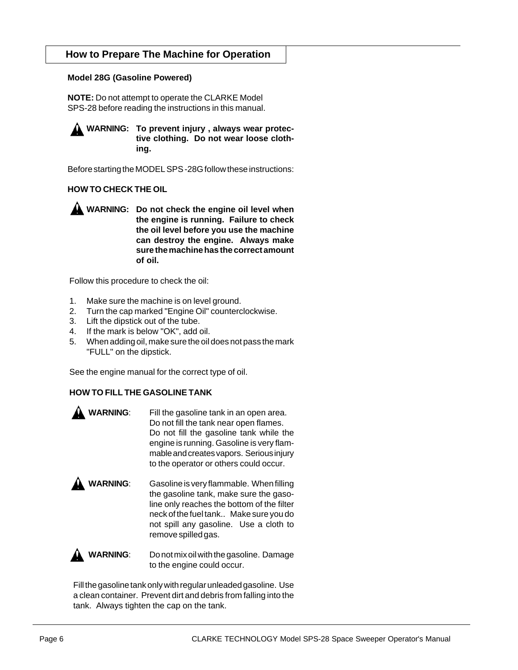## **How to Prepare The Machine for Operation**

#### **Model 28G (Gasoline Powered)**

**NOTE:** Do not attempt to operate the CLARKE Model SPS-28 before reading the instructions in this manual.

**WARNING: To prevent injury , always wear protective clothing. Do not wear loose clothing.**

Before starting the MODEL SPS -28G follow these instructions:

#### **HOW TO CHECK THE OIL**

**WARNING: Do not check the engine oil level when the engine is running. Failure to check the oil level before you use the machine can destroy the engine. Always make sure the machine has the correct amount of oil.**

Follow this procedure to check the oil:

- 1. Make sure the machine is on level ground.
- 2. Turn the cap marked "Engine Oil" counterclockwise.
- 3. Lift the dipstick out of the tube.
- 4. If the mark is below "OK", add oil.
- 5. When adding oil, make sure the oil does not pass the mark "FULL" on the dipstick.

See the engine manual for the correct type of oil.

#### **HOW TO FILL THE GASOLINE TANK**

| Fill the gasoline tank in an open area.   |
|-------------------------------------------|
| Do not fill the tank near open flames.    |
| Do not fill the gasoline tank while the   |
| engine is running. Gasoline is very flam- |
| mable and creates vapors. Serious injury  |
| to the operator or others could occur.    |
|                                           |

**WARNING:** Gasoline is very flammable. When filling the gasoline tank, make sure the gasoline only reaches the bottom of the filter neck of the fuel tank.. Make sure you do not spill any gasoline. Use a cloth to remove spilled gas.

**A** WARNING: Do not mix oil with the gasoline. Damage to the engine could occur.

Fill the gasoline tank only with regular unleaded gasoline. Use a clean container. Prevent dirt and debris from falling into the tank. Always tighten the cap on the tank.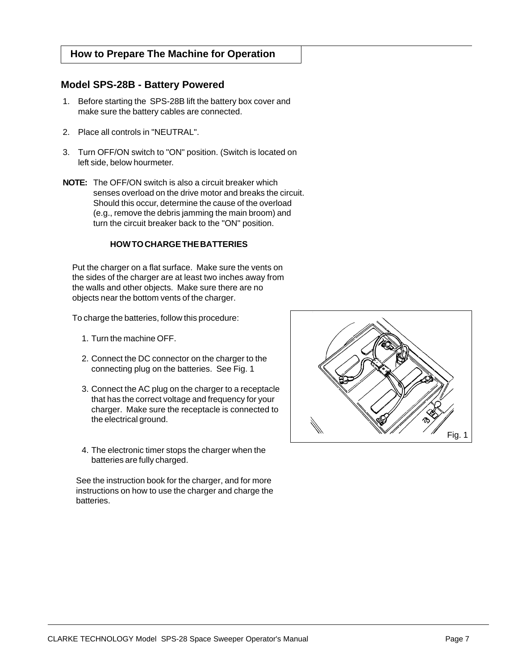#### <span id="page-6-0"></span>**How to Prepare The Machine for Operation**

#### **Model SPS-28B - Battery Powered**

- 1. Before starting the SPS-28B lift the battery box cover and make sure the battery cables are connected.
- 2. Place all controls in "NEUTRAL".
- 3. Turn OFF/ON switch to "ON" position. (Switch is located on left side, below hourmeter.
- **NOTE:** The OFF/ON switch is also a circuit breaker which senses overload on the drive motor and breaks the circuit. Should this occur, determine the cause of the overload (e.g., remove the debris jamming the main broom) and turn the circuit breaker back to the "ON" position.

#### **HOW TO CHARGE THE BATTERIES**

Put the charger on a flat surface. Make sure the vents on the sides of the charger are at least two inches away from the walls and other objects. Make sure there are no objects near the bottom vents of the charger.

To charge the batteries, follow this procedure:

- 1. Turn the machine OFF.
- 2. Connect the DC connector on the charger to the connecting plug on the batteries. See Fig. 1
- 3. Connect the AC plug on the charger to a receptacle that has the correct voltage and frequency for your charger. Make sure the receptacle is connected to the electrical ground.
- 4. The electronic timer stops the charger when the batteries are fully charged.

See the instruction book for the charger, and for more instructions on how to use the charger and charge the batteries.

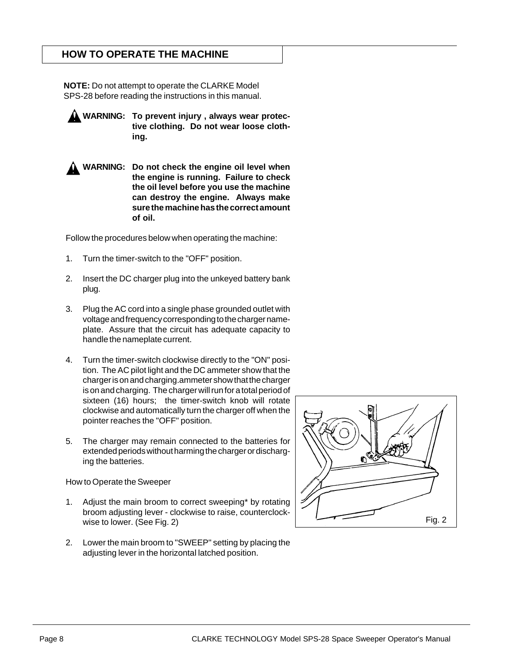## **HOW TO OPERATE THE MACHINE**

**NOTE:** Do not attempt to operate the CLARKE Model SPS-28 before reading the instructions in this manual.

**WARNING: To prevent injury , always wear protective clothing. Do not wear loose clothing.**

**WARNING: Do not check the engine oil level when the engine is running. Failure to check the oil level before you use the machine can destroy the engine. Always make sure the machine has the correct amount of oil.**

Follow the procedures below when operating the machine:

- 1. Turn the timer-switch to the "OFF" position.
- 2. Insert the DC charger plug into the unkeyed battery bank plug.
- 3. Plug the AC cord into a single phase grounded outlet with voltage and frequency corresponding to the charger nameplate. Assure that the circuit has adequate capacity to handle the nameplate current.
- 4. Turn the timer-switch clockwise directly to the "ON" position. The AC pilot light and the DC ammeter show that the charger is on and charging.ammeter show that the charger is on and charging. The charger will run for a total period of sixteen (16) hours; the timer-switch knob will rotate clockwise and automatically turn the charger off when the pointer reaches the "OFF" position.
- 5. The charger may remain connected to the batteries for extended periods without harming the charger or discharging the batteries.

How to Operate the Sweeper

- 1. Adjust the main broom to correct sweeping\* by rotating broom adjusting lever - clockwise to raise, counterclockwise to lower. (See Fig. 2)
- 2. Lower the main broom to "SWEEP" setting by placing the adjusting lever in the horizontal latched position.

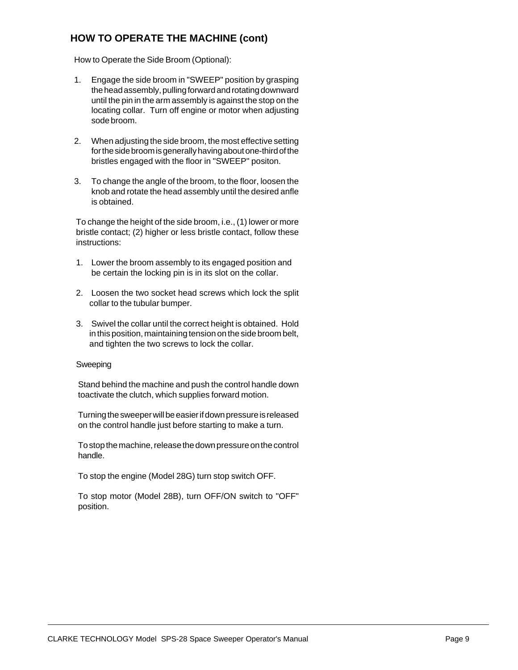# **HOW TO OPERATE THE MACHINE (cont)**

How to Operate the Side Broom (Optional):

- 1. Engage the side broom in "SWEEP" position by grasping the head assembly, pulling forward and rotating downward until the pin in the arm assembly is against the stop on the locating collar. Turn off engine or motor when adjusting sode broom.
- 2. When adjusting the side broom, the most effective setting for the side broom is generally having about one-third of the bristles engaged with the floor in "SWEEP" positon.
- 3. To change the angle of the broom, to the floor, loosen the knob and rotate the head assembly until the desired anfle is obtained.

To change the height of the side broom, i.e., (1) lower or more bristle contact; (2) higher or less bristle contact, follow these instructions:

- 1. Lower the broom assembly to its engaged position and be certain the locking pin is in its slot on the collar.
- 2. Loosen the two socket head screws which lock the split collar to the tubular bumper.
- 3. Swivel the collar until the correct height is obtained. Hold in this position, maintaining tension on the side broom belt, and tighten the two screws to lock the collar.

#### Sweeping

Stand behind the machine and push the control handle down toactivate the clutch, which supplies forward motion.

Turning the sweeper will be easier if down pressure is released on the control handle just before starting to make a turn.

To stop the machine, release the down pressure on the control handle.

To stop the engine (Model 28G) turn stop switch OFF.

To stop motor (Model 28B), turn OFF/ON switch to "OFF" position.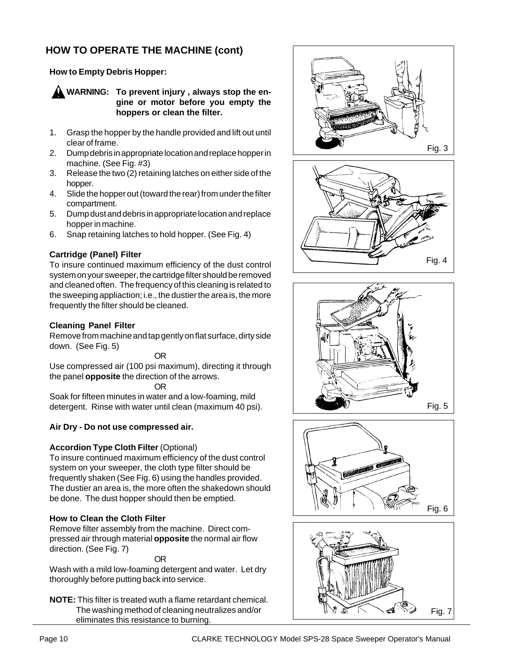# **HOW TO OPERATE THE MACHINE (cont)**

#### **How to Empty Debris Hopper:**

**A** WARNING: To prevent injury, always stop the en**gine or motor before you empty the hoppers or clean the filter.**

- 1. Grasp the hopper by the handle provided and lift out until clear of frame.
- 2. Dump debris in appropriate location and replace hopper in machine. (See Fig. #3)
- 3. Release the two (2) retaining latches on either side of the hopper.
- 4. Slide the hopper out (toward the rear) from under the filter compartment.
- 5. Dump dust and debris in appropriate location and replace hopper in machine.
- 6. Snap retaining latches to hold hopper. (See Fig. 4)

#### **Cartridge (Panel) Filter**

To insure continued maximum efficiency of the dust control system on your sweeper, the cartridge filter should be removed and cleaned often. The frequency of this cleaning is related to the sweeping appliaction; i.e., the dustier the area is, the more frequently the filter should be cleaned.

#### **Cleaning Panel Filter**

Remove from machine and tap gently on flat surface, dirty side down. (See Fig. 5)

#### OR

Use compressed air (100 psi maximum), directing it through the panel **opposite** the direction of the arrows.

OR

Soak for fifteen minutes in water and a low-foaming, mild detergent. Rinse with water until clean (maximum 40 psi).

#### **Air Dry - Do not use compressed air.**

#### **Accordion Type Cloth Filter** (Optional)

To insure continued maximum efficiency of the dust control system on your sweeper, the cloth type filter should be frequently shaken (See Fig. 6) using the handles provided. The dustier an area is, the more often the shakedown should be done. The dust hopper should then be emptied.

#### **How to Clean the Cloth Filter**

Remove filter assembly from the machine. Direct compressed air through material **opposite** the normal air flow direction. (See Fig. 7)

OR

Wash with a mild low-foaming detergent and water. Let dry thoroughly before putting back into service.

**NOTE:** This filter is treated wuth a flame retardant chemical. The washing method of cleaning neutralizes and/or eliminates this resistance to burning.









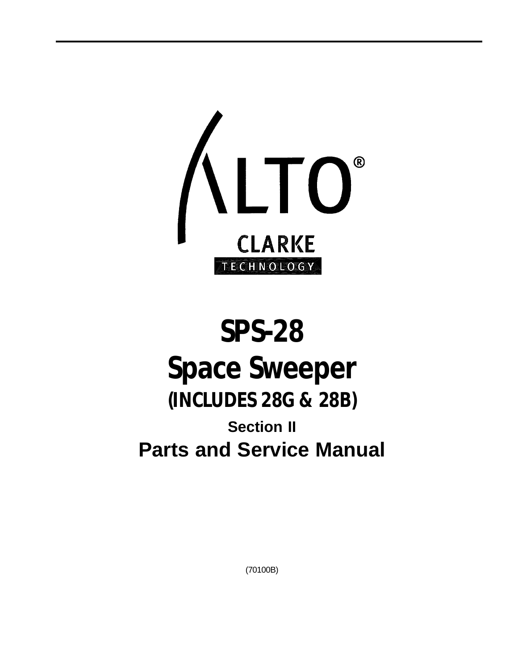

# **SPS-28 Space Sweeper (INCLUDES 28G & 28B) Section II Parts and Service Manual**

(70100B)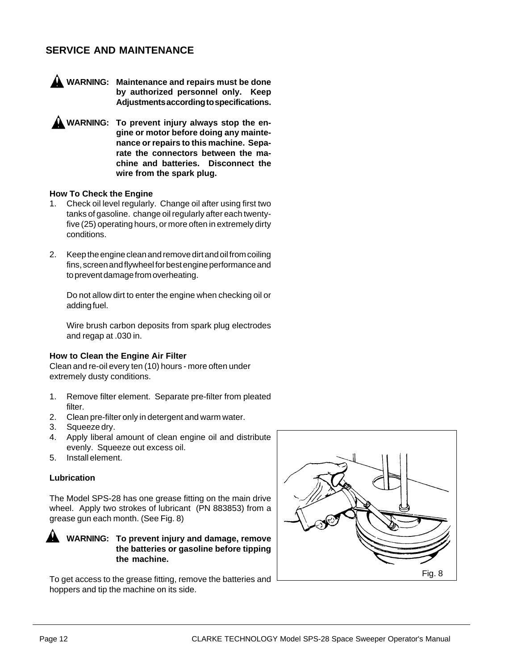# **SERVICE AND MAINTENANCE**



**WARNING: Maintenance and repairs must be done by authorized personnel only. Keep Adjustments according to specifications.**

**A** WARNING: To prevent injury always stop the en**gine or motor before doing any maintenance or repairs to this machine. Separate the connectors between the machine and batteries. Disconnect the wire from the spark plug.**

#### **How To Check the Engine**

- 1. Check oil level regularly. Change oil after using first two tanks of gasoline. change oil regularly after each twentyfive (25) operating hours, or more often in extremely dirty conditions.
- 2. Keep the engine clean and remove dirt and oil from coiling fins, screen and flywheel for best engine performance and to prevent damage from overheating.

Do not allow dirt to enter the engine when checking oil or adding fuel.

Wire brush carbon deposits from spark plug electrodes and regap at .030 in.

#### **How to Clean the Engine Air Filter**

Clean and re-oil every ten (10) hours - more often under extremely dusty conditions.

- 1. Remove filter element. Separate pre-filter from pleated filter.
- 2. Clean pre-filter only in detergent and warm water.
- 3. Squeeze dry.
- 4. Apply liberal amount of clean engine oil and distribute evenly. Squeeze out excess oil.
- 5. Install element.

#### **Lubrication**

The Model SPS-28 has one grease fitting on the main drive wheel. Apply two strokes of lubricant (PN 883853) from a grease gun each month. (See Fig. 8)

**WARNING: To prevent injury and damage, remove the batteries or gasoline before tipping the machine.**

To get access to the grease fitting, remove the batteries and hoppers and tip the machine on its side.

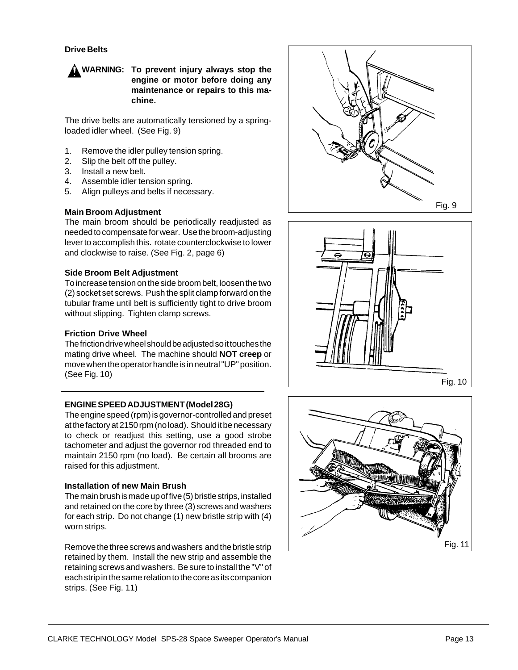#### **Drive Belts**



The drive belts are automatically tensioned by a springloaded idler wheel. (See Fig. 9)

- 1. Remove the idler pulley tension spring.
- 2. Slip the belt off the pulley.
- 3. Install a new belt.
- 4. Assemble idler tension spring.
- 5. Align pulleys and belts if necessary.

#### **Main Broom Adjustment**

The main broom should be periodically readjusted as needed to compensate for wear. Use the broom-adjusting lever to accomplish this. rotate counterclockwise to lower and clockwise to raise. (See Fig. 2, page 6)

#### **Side Broom Belt Adjustment**

To increase tension on the side broom belt, loosen the two (2) socket set screws. Push the split clamp forward on the tubular frame until belt is sufficiently tight to drive broom without slipping. Tighten clamp screws.

#### **Friction Drive Wheel**

The friction drive wheel should be adjusted so it touches the mating drive wheel. The machine should **NOT creep** or move when the operator handle is in neutral "UP" position. (See Fig. 10)

#### **ENGINE SPEED ADJUSTMENT(Model 28G)**

The engine speed (rpm) is governor-controlled and preset at the factory at 2150 rpm (no load). Should it be necessary to check or readjust this setting, use a good strobe tachometer and adjust the governor rod threaded end to maintain 2150 rpm (no load). Be certain all brooms are raised for this adjustment.

#### **Installation of new Main Brush**

The main brush is made up of five (5) bristle strips, installed and retained on the core by three (3) screws and washers for each strip. Do not change (1) new bristle strip with (4) worn strips.

Remove the three screws and washers and the bristle strip retained by them. Install the new strip and assemble the retaining screws and washers. Be sure to install the "V" of each strip in the same relation to the core as its companion strips. (See Fig. 11)





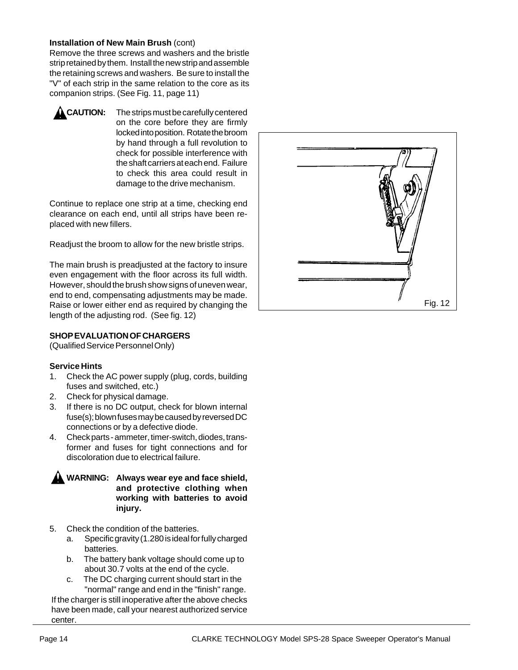#### **Installation of New Main Brush** (cont)

Remove the three screws and washers and the bristle strip retained by them. Install the new strip and assemble the retaining screws and washers. Be sure to install the "V" of each strip in the same relation to the core as its companion strips. (See Fig. 11, page 11)



**CAUTION:** The strips must be carefully centered on the core before they are firmly locked into position. Rotate the broom by hand through a full revolution to check for possible interference with the shaft carriers at each end. Failure to check this area could result in damage to the drive mechanism.

Continue to replace one strip at a time, checking end clearance on each end, until all strips have been replaced with new fillers.

Readjust the broom to allow for the new bristle strips.

The main brush is preadjusted at the factory to insure even engagement with the floor across its full width. However, should the brush show signs of uneven wear, end to end, compensating adjustments may be made. Raise or lower either end as required by changing the length of the adjusting rod. (See fig. 12)

#### **SHOP EVALUATION OF CHARGERS**

(Qualified Service Personnel Only)

#### **Service Hints**

- 1. Check the AC power supply (plug, cords, building fuses and switched, etc.)
- 2. Check for physical damage.
- 3. If there is no DC output, check for blown internal fuse(s); blown fuses may be caused by reversed DC connections or by a defective diode.
- 4. Check parts ammeter, timer-switch, diodes, transformer and fuses for tight connections and for discoloration due to electrical failure.



- 5. Check the condition of the batteries.
	- a. Specific gravity (1.280 is ideal for fully charged batteries.
	- b. The battery bank voltage should come up to about 30.7 volts at the end of the cycle.
	- c. The DC charging current should start in the "normal" range and end in the "finish" range.

If the charger is still inoperative after the above checks have been made, call your nearest authorized service center.

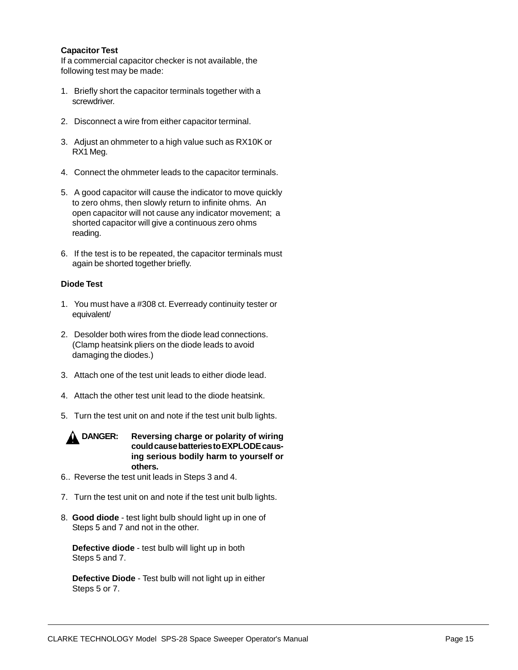#### **Capacitor Test**

If a commercial capacitor checker is not available, the following test may be made:

- 1. Briefly short the capacitor terminals together with a screwdriver.
- 2. Disconnect a wire from either capacitor terminal.
- 3. Adjust an ohmmeter to a high value such as RX10K or RX1 Meg.
- 4. Connect the ohmmeter leads to the capacitor terminals.
- 5. A good capacitor will cause the indicator to move quickly to zero ohms, then slowly return to infinite ohms. An open capacitor will not cause any indicator movement; a shorted capacitor will give a continuous zero ohms reading.
- 6. If the test is to be repeated, the capacitor terminals must again be shorted together briefly.

#### **Diode Test**

- 1. You must have a #308 ct. Everready continuity tester or equivalent/
- 2. Desolder both wires from the diode lead connections. (Clamp heatsink pliers on the diode leads to avoid damaging the diodes.)
- 3. Attach one of the test unit leads to either diode lead.
- 4. Attach the other test unit lead to the diode heatsink.
- 5. Turn the test unit on and note if the test unit bulb lights.



- 6.. Reverse the test unit leads in Steps 3 and 4.
- 7. Turn the test unit on and note if the test unit bulb lights.
- 8. **Good diode**  test light bulb should light up in one of Steps 5 and 7 and not in the other.

**Defective diode** - test bulb will light up in both Steps 5 and 7.

**Defective Diode** - Test bulb will not light up in either Steps 5 or 7.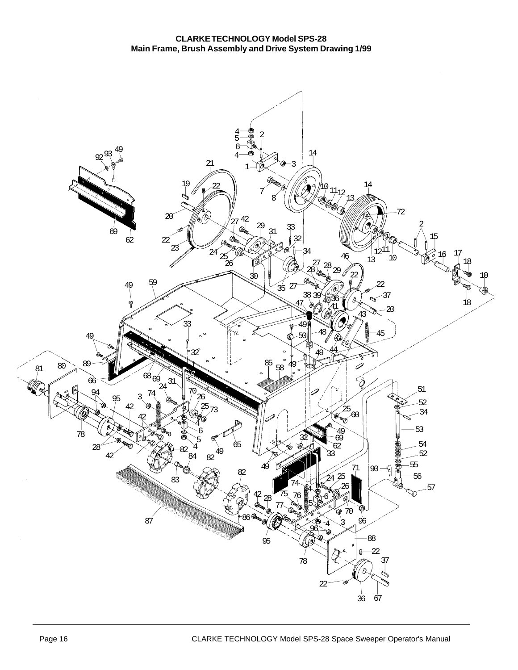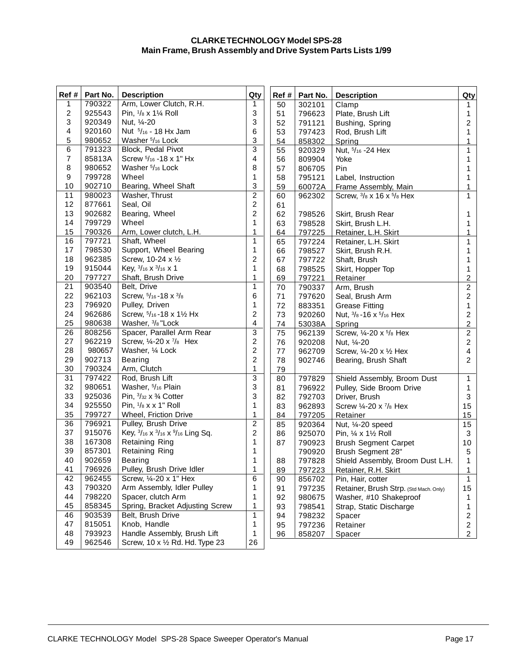#### **CLARKE TECHNOLOGY Model SPS-28 Main Frame, Brush Assembly and Drive System Parts Lists 1/99**

| Ref #            | Part No. | <b>Description</b>                                   | Qty                     | Ref #<br>Part No.<br><b>Description</b> |        | Qty                                         |                         |
|------------------|----------|------------------------------------------------------|-------------------------|-----------------------------------------|--------|---------------------------------------------|-------------------------|
| 1                | 790322   | Arm, Lower Clutch, R.H.                              |                         | 50                                      | 302101 | Clamp                                       | 1                       |
| $\overline{c}$   | 925543   | Pin, 1/8 x 11/4 Roll                                 |                         | 51                                      | 796623 | Plate, Brush Lift                           | 1                       |
| 3                | 920349   | Nut, 1/4-20                                          | 3                       | 52                                      | 791121 | Bushing, Spring                             | $\overline{c}$          |
| 4                | 920160   | Nut 5/16 - 18 Hx Jam                                 | 6                       | 53                                      | 797423 | Rod, Brush Lift                             | 1                       |
| 5                | 980652   | Washer 5/16 Lock                                     | 3                       | 54                                      | 858302 | Spring                                      | 1                       |
| 6                | 791323   | Block, Pedal Pivot                                   | 3                       | 55                                      | 920329 | Nut, 5/16 - 24 Hex                          | 1                       |
| $\boldsymbol{7}$ | 85813A   | Screw 5/16 - 18 x 1" Hx                              | 4                       | 56                                      | 809904 | Yoke                                        | 1                       |
| 8                | 980652   | Washer 5/16 Lock                                     | 8                       | 57                                      | 806705 | Pin                                         | 1                       |
| 9                | 799728   | Wheel                                                | 1                       | 58                                      | 795121 | Label, Instruction                          | 1                       |
| 10               | 902710   | Bearing, Wheel Shaft                                 | 3                       | 59                                      | 60072A | Frame Assembly, Main                        | 1                       |
| 11               | 980023   | Washer, Thrust                                       | $\overline{2}$          | 60                                      | 962302 | Screw, 3/8 x 16 x 5/8 Hex                   | 1                       |
| 12               | 877661   | Seal, Oil                                            | $\overline{c}$          | 61                                      |        |                                             |                         |
| 13               | 902682   | Bearing, Wheel                                       | 2                       | 62                                      | 798526 | Skirt, Brush Rear                           | 1                       |
| 14               | 799729   | Wheel                                                | 1                       | 63                                      | 798528 | Skirt, Brush L.H.                           | 1                       |
| 15               | 790326   | Arm, Lower clutch, L.H.                              | 1                       | 64                                      | 797225 | Retainer, L.H. Skirt                        | 1                       |
| 16               | 797721   | Shaft, Wheel                                         | $\mathbf{1}$            | 65                                      | 797224 | Retainer, L.H. Skirt                        | 1                       |
| 17               | 798530   | Support, Wheel Bearing                               | 1                       | 66                                      | 798527 | Skirt, Brush R.H.                           | 1                       |
| 18               | 962385   | Screw, 10-24 x 1/2                                   | $\overline{\mathbf{c}}$ | 67                                      | 797722 | Shaft, Brush                                | 1                       |
| 19               | 915044   | Key, 3/16 x 3/16 x 1                                 | 1                       | 68                                      | 798525 | Skirt, Hopper Top                           | 1                       |
| 20               | 797727   | Shaft, Brush Drive                                   | 1                       | 69                                      | 797221 | Retainer                                    | $\overline{2}$          |
| 21               | 903540   | Belt, Drive                                          | $\mathbf{1}$            | 70                                      | 790337 | Arm, Brush                                  | $\boldsymbol{2}$        |
| 22               | 962103   | Screw, 5/16-18 x 3/8                                 |                         | 71                                      | 797620 | Seal, Brush Arm                             | $\overline{c}$          |
| 23               | 796920   | Pulley, Driven                                       |                         | 72                                      | 883351 | <b>Grease Fitting</b>                       | 1                       |
| 24               | 962686   | Screw, 5/16-18 x 11/2 Hx                             |                         | 73                                      | 920260 | Nut, $\frac{3}{8}$ -16 x $\frac{5}{16}$ Hex | $\overline{c}$          |
| 25               | 980638   | Washer, 3/8 "Lock                                    |                         | 74                                      | 53038A | Spring                                      | $\overline{c}$          |
| 26               | 808256   | Spacer, Parallel Arm Rear                            |                         | 75                                      | 962139 | Screw, 1/4-20 x 5/8 Hex                     | $\overline{c}$          |
| 27               | 962219   | Screw, 1/4-20 x 7/8 Hex                              |                         | 76                                      | 920208 | Nut, 1/4-20                                 | $\overline{2}$          |
| 28               | 980657   | Washer, 1/4 Lock                                     |                         | 77                                      | 962709 | Screw, 1/4-20 x 1/2 Hex                     | $\overline{\mathbf{4}}$ |
| 29               | 902713   | <b>Bearing</b>                                       |                         | 78                                      | 902746 | Bearing, Brush Shaft                        | $\overline{c}$          |
| 30               | 790324   | Arm, Clutch                                          |                         | 79                                      |        |                                             |                         |
| 31               | 797422   | Rod, Brush Lift                                      | $\overline{3}$          | 80                                      | 797829 | Shield Assembly, Broom Dust                 | $\mathbf{1}$            |
| 32               | 980651   | Washer, 5/16 Plain                                   | 3                       | 81                                      | 796922 | Pulley, Side Broom Drive                    | 1                       |
| 33               | 925036   | Pin, 3/32 x 3/4 Cotter                               | 3                       | 82                                      | 792703 | Driver, Brush                               | $\mathbf{3}$            |
| 34               | 925550   | Pin, 1/8 x x 1" Roll                                 | 1                       | 83                                      | 962893 | Screw 1/4-20 x 7/8 Hex                      | 15                      |
| 35               | 799727   | Wheel, Friction Drive                                | 1                       | 84                                      | 797205 | Retainer                                    | 15                      |
| 36               | 796921   | Pulley, Brush Drive                                  | 2                       | 85                                      | 920364 | Nut, 1⁄4-20 speed                           | 15                      |
| 37               | 915076   | Key, 3/16 x 3/16 x 9/16 Ling Sq.                     | $\overline{c}$          | 86                                      | 925070 | Pin, 1/4 x 11/2 Roll                        | 3                       |
| 38               | 167308   | Retaining Ring                                       | 1                       | 87                                      | 790923 | <b>Brush Segment Carpet</b>                 | 10 <sup>1</sup>         |
| 39               | 857301   | Retaining Ring                                       | 1                       |                                         | 790920 | Brush Segment 28"                           | 5                       |
| 40               | 902659   | <b>Bearing</b>                                       | 1                       | 88                                      | 797828 | Shield Assembly, Broom Dust L.H.            | $\mathbf{1}$            |
| 41               | 796926   | Pulley, Brush Drive Idler                            | 1                       | 89                                      | 797223 | Retainer, R.H. Skirt                        | 1                       |
| 42               | 962455   | Screw, 1/4-20 x 1" Hex                               | 6                       | 90                                      | 856702 | Pin, Hair, cotter                           | $\mathbf{1}$            |
| 43               | 790320   | Arm Assembly, Idler Pulley                           | 1                       | 91                                      | 797235 | Retainer, Brush Strp. (Std Mach. Only)      | 15                      |
| 44               | 798220   | Spacer, clutch Arm                                   | 1                       | 92                                      | 980675 | Washer, #10 Shakeproof                      | 1                       |
| 45               | 858345   | Spring, Bracket Adjusting Screw<br>1<br>93<br>798541 |                         | Strap, Static Discharge                 | 1      |                                             |                         |
| 46               | 903539   | Belt, Brush Drive                                    | 1                       | 94                                      | 798232 | Spacer                                      | $\overline{c}$          |
| 47               | 815051   | Knob, Handle                                         | 1                       | 95                                      | 797236 | Retainer                                    | $\overline{c}$          |
| 48               | 793923   | Handle Assembly, Brush Lift                          | 1                       | 96                                      | 858207 | Spacer                                      | $\overline{2}$          |
| 49               | 962546   | Screw, 10 x 1/2 Rd. Hd. Type 23                      | 26                      |                                         |        |                                             |                         |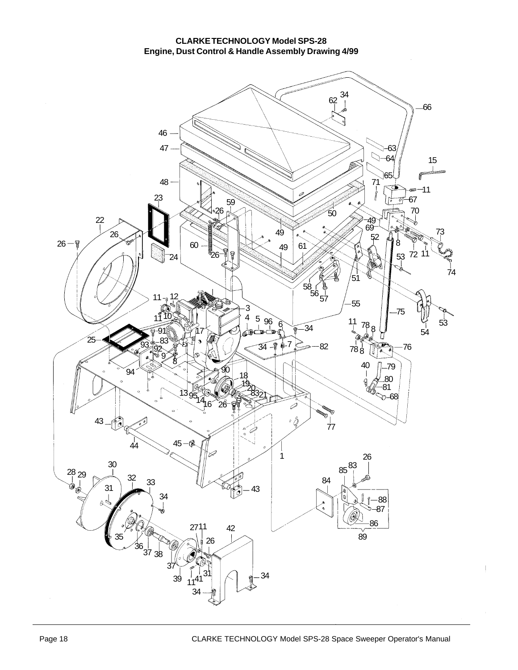#### **CLARKE TECHNOLOGY Model SPS-28 Engine, Dust Control & Handle Assembly Drawing 4/99**

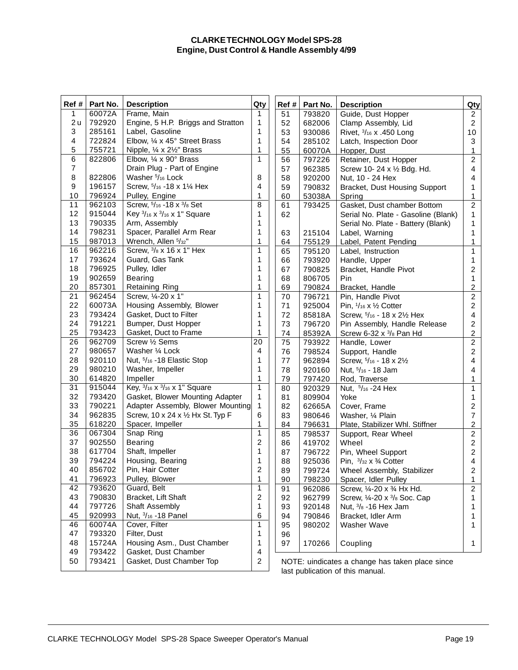#### **CLARKE TECHNOLOGY Model SPS-28 Engine, Dust Control & Handle Assembly 4/99**

| Ref #          | Part No. | <b>Description</b>                         | Qty                                                               | Ref # | Part No. | <b>Description</b>                     | Qty                     |
|----------------|----------|--------------------------------------------|-------------------------------------------------------------------|-------|----------|----------------------------------------|-------------------------|
| 1              | 60072A   | Frame, Main                                |                                                                   | 51    | 793820   | Guide, Dust Hopper                     | 2                       |
| 2u             | 792920   | Engine, 5 H.P. Briggs and Stratton         |                                                                   | 52    | 682006   | Clamp Assembly, Lid                    | $\overline{a}$          |
| 3              | 285161   | Label, Gasoline                            | 1                                                                 | 53    | 930086   | Rivet, 3/16 x .450 Long                | 10                      |
| 4              | 722824   | Elbow, 1/4 x 45° Street Brass              | $\mathbf{1}$                                                      | 54    | 285102   | Latch, Inspection Door                 | 3                       |
| 5              | 755721   | Nipple, 1/4 x 21/2" Brass                  |                                                                   | 55    | 60070A   | Hopper, Dust                           | 1                       |
| 6              | 822806   | Elbow, 1/4 x 90° Brass                     | $\mathbf{1}$                                                      | 56    | 797226   | Retainer, Dust Hopper                  | $\overline{c}$          |
| $\overline{7}$ |          | Drain Plug - Part of Engine                |                                                                   | 57    | 962385   | Screw 10-24 x 1/2 Bdg. Hd.             | $\overline{\mathbf{4}}$ |
| 8              | 822806   | Washer 5/16 Lock                           | 8                                                                 | 58    | 920200   | Nut, 10 - 24 Hex                       | 4                       |
| 9              | 196157   | Screw, $5/16 - 18 \times 1\frac{1}{4}$ Hex | 4                                                                 | 59    | 790832   | Bracket, Dust Housing Support          | 1                       |
| 10             | 796924   | Pulley, Engine                             | 1                                                                 | 60    | 53038A   | Spring                                 | 1                       |
| 11             | 962103   | Screw, 5/16 - 18 x 3/8 Set                 | 8                                                                 | 61    | 793425   | Gasket, Dust chamber Bottom            | $\overline{c}$          |
| 12             | 915044   | Key 3/16 x 3/16 x 1" Square                | 1                                                                 | 62    |          | Serial No. Plate - Gasoline (Blank)    | 1                       |
| 13             | 790335   | Arm, Assembly                              | 1                                                                 |       |          | Serial No. Plate - Battery (Blank)     | 1                       |
| 14             | 798231   | Spacer, Parallel Arm Rear                  | 1                                                                 | 63    | 215104   | Label, Warning                         | 1                       |
| 15             | 987013   | Wrench, Allen 5/32"                        | 1                                                                 | 64    | 755129   | Label, Patent Pending                  | 1                       |
| 16             | 962216   | Screw, 3/8 x 16 x 1" Hex                   | $\mathbf{1}$                                                      | 65    | 795120   | Label, Instruction                     | 1                       |
| 17             | 793624   | Guard, Gas Tank                            | 1                                                                 | 66    | 793920   | Handle, Upper                          | 1                       |
| 18             | 796925   | Pulley, Idler                              | 1                                                                 | 67    | 790825   | Bracket, Handle Pivot                  | $\overline{c}$          |
| 19             | 902659   | <b>Bearing</b>                             | 1                                                                 | 68    | 806705   | Pin                                    | 1                       |
| 20             | 857301   | <b>Retaining Ring</b>                      | 1                                                                 | 69    | 790824   | Bracket, Handle                        | $\overline{c}$          |
| 21             | 962454   | Screw, 1/4-20 x 1"                         | $\mathbf{1}$                                                      | 70    | 796721   | Pin, Handle Pivot                      | $\overline{c}$          |
| 22             | 60073A   | Housing Assembly, Blower                   | 1                                                                 | 71    | 925004   | Pin, $1/16 \times 1/2$ Cotter          | $\overline{a}$          |
| 23             | 793424   | Gasket, Duct to Filter                     |                                                                   | 72    | 85818A   | Screw, 5/16 - 18 x 21/2 Hex            | 4                       |
| 24             | 791221   | Bumper, Dust Hopper                        |                                                                   | 73    | 796720   | Pin Assembly, Handle Release           | $\overline{2}$          |
| 25             | 793423   | Gasket, Duct to Frame                      | 1                                                                 | 74    | 85392A   | Screw 6-32 $x \frac{3}{8}$ Pan Hd      | $\overline{c}$          |
| 26             | 962709   | Screw 1/2 Sems                             |                                                                   | 75    | 793922   | Handle, Lower                          | $\overline{2}$          |
| 27             | 980657   | Washer 1/4 Lock                            | 4                                                                 | 76    | 798524   | Support, Handle                        | $\overline{c}$          |
| 28             | 920110   | Nut, 5/16 - 18 Elastic Stop                | 1                                                                 | 77    | 962894   | Screw, $5/16 - 18 \times 2\frac{1}{2}$ | 4                       |
| 29             | 980210   | Washer, Impeller                           | 1                                                                 | 78    | 920160   | Nut, $5/16 - 18$ Jam                   | 4                       |
| 30             | 614820   | Impeller                                   | 1                                                                 | 79    | 797420   | Rod, Traverse                          | 1                       |
| 31             | 915044   | Key, 3/16 x 3/16 x 1" Square               | $\mathbf{1}$                                                      | 80    | 920329   | Nut, 5/16 - 24 Hex                     | 1                       |
| 32             | 793420   | Gasket, Blower Mounting Adapter            | $\mathbf{1}$                                                      | 81    | 809904   | Yoke                                   | 1                       |
| 33             | 790221   | Adapter Assembly, Blower Mounting          | $\mathbf{1}$                                                      | 82    | 62665A   | Cover, Frame                           | $\overline{c}$          |
| 34             | 962835   | Screw, 10 x 24 x 1/2 Hx St. Typ F          | 6                                                                 | 83    | 980646   | Washer, 1/4 Plain                      | $\overline{7}$          |
| 35             | 618220   | Spacer, Impeller                           | 1                                                                 | 84    | 796631   | Plate, Stabilizer Whl. Stiffner        | $\overline{2}$          |
| 36             | 067304   | Snap Ring                                  | $\mathbf{1}$                                                      | 85    | 798537   | Support, Rear Wheel                    | $\overline{2}$          |
| 37             | 902550   | <b>Bearing</b>                             | 2                                                                 | 86    | 419702   | Wheel                                  | $\overline{a}$          |
| 38             | 617704   | Shaft, Impeller                            | 1                                                                 | 87    | 796722   | Pin, Wheel Support                     | $\overline{2}$          |
| 39             | 794224   | Housing, Bearing                           | 1                                                                 | 88    | 925036   | Pin, $3/32 \times 3/4$ Cotter          | 4                       |
| 40             | 856702   | Pin, Hair Cotter                           | $\overline{2}$                                                    | 89    | 799724   | Wheel Assembly, Stabilizer             | 2                       |
| 41             | 796923   | Pulley, Blower                             | 1                                                                 | 90    | 798230   | Spacer, Idler Pulley                   | 1                       |
| 42             | 793620   | Guard, Belt                                | 1                                                                 | 91    | 962086   | Screw, 1/4-20 x 3/4 Hx Hd.             | $\overline{2}$          |
| 43             | 790830   | Bracket, Lift Shaft                        | 2                                                                 | 92    | 962799   | Screw, 1/4-20 x 3/8 Soc. Cap           | 1                       |
| 44             | 797726   | Shaft Assembly                             |                                                                   | 93    | 920148   | Nut, 3/8 -16 Hex Jam                   | 1                       |
| 45             | 920993   | Nut, 3/16 - 18 Panel                       | 6                                                                 | 94    | 790846   | Bracket, Idler Arm                     | 1                       |
| 46             | 60074A   | Cover, Filter                              | 1                                                                 | 95    | 980202   | Washer Wave                            | $\mathbf{1}$            |
| 47             | 793320   | Filter, Dust                               | 1                                                                 | 96    |          |                                        |                         |
| 48             | 15724A   | Housing Asm., Dust Chamber                 | 1                                                                 | 97    | 170266   | Coupling                               | $\mathbf{1}$            |
| 49             | 793422   | Gasket, Dust Chamber                       | 4                                                                 |       |          |                                        |                         |
| 50             | 793421   | Gasket, Dust Chamber Top                   | $\overline{c}$<br>NOTE: uindicates a change has taken place since |       |          |                                        |                         |
|                |          |                                            |                                                                   |       |          | last publication of this manual        |                         |

NOTE: uindicates a change has taken place since last publication of this manual.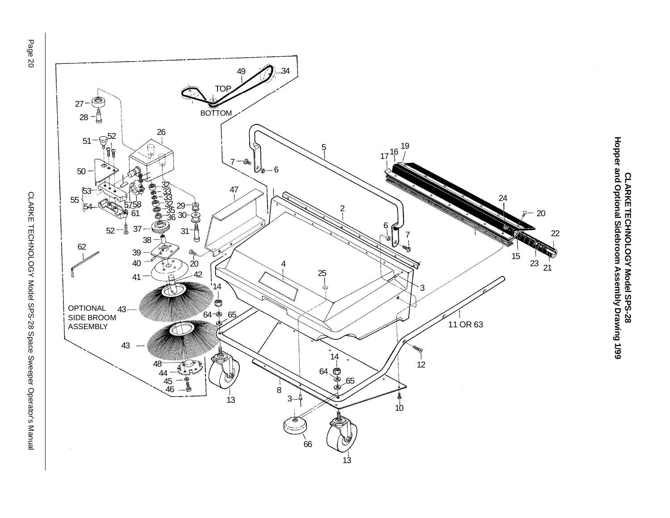



CLARKETECHNOLOGY Model SPS-28<br>Hopper and Optional Sidebroom Assembly Drawing 1/99 **Hopper and Optional Sidebroom Assembly Drawing 1/99 CLARKE TECHNOLOGY Model SPS-28**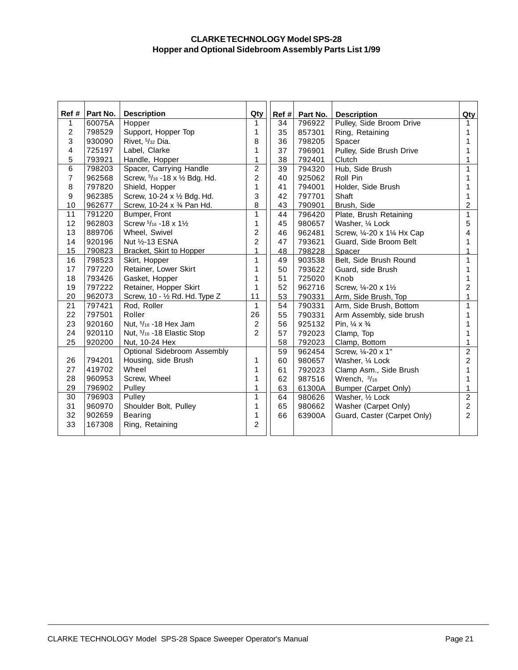#### **CLARKE TECHNOLOGY Model SPS-28 Hopper and Optional Sidebroom Assembly Parts List 1/99**

| Ref#           | Part No. | <b>Description</b>              | Qty            | Ref# | Part No. | <b>Description</b>                                         | Qty            |
|----------------|----------|---------------------------------|----------------|------|----------|------------------------------------------------------------|----------------|
| 1              | 60075A   | Hopper                          |                | 34   | 796922   | Pulley, Side Broom Drive                                   |                |
| $\overline{2}$ | 798529   | Support, Hopper Top             | $\mathbf{1}$   | 35   | 857301   | Ring, Retaining                                            | 1              |
| 3              | 930090   | Rivet, 5/32 Dia.                | 8              | 36   | 798205   | Spacer                                                     | 1              |
| 4              | 725197   | Label, Clarke                   | 1              | 37   | 796901   | Pulley, Side Brush Drive                                   |                |
| 5              | 793921   | Handle, Hopper                  | 1              | 38   | 792401   | Clutch                                                     |                |
| $6\phantom{1}$ | 798203   | Spacer, Carrying Handle         | $\overline{2}$ | 39   | 794320   | Hub, Side Brush                                            | 1              |
| $\overline{7}$ | 962568   | Screw, 5/16 - 18 x 1/2 Bdg. Hd. | $\overline{c}$ | 40   | 925062   | Roll Pin                                                   | 1              |
| 8              | 797820   | Shield, Hopper                  | $\mathbf{1}$   | 41   | 794001   | Holder, Side Brush                                         |                |
| 9              | 962385   | Screw, 10-24 x 1/2 Bdg. Hd.     | 3              | 42   | 797701   | Shaft                                                      |                |
| 10             | 962677   | Screw, 10-24 x 3/4 Pan Hd.      | 8              | 43   | 790901   | Brush, Side                                                | 2              |
| 11             | 791220   | Bumper, Front                   | $\overline{1}$ | 44   | 796420   | Plate, Brush Retaining                                     | 1              |
| 12             | 962803   | Screw 5/16 - 18 x 11/2          | 1              | 45   | 980657   | Washer, 1/4 Lock                                           | 5              |
| 13             | 889706   | Wheel, Swivel                   | $\overline{2}$ | 46   | 962481   | Screw, 1/4-20 x 11/4 Hx Cap                                | 4              |
| 14             | 920196   | Nut 1/2-13 ESNA                 |                | 47   | 793621   | Guard, Side Broom Belt                                     |                |
| 15             | 790823   | <b>Bracket, Skirt to Hopper</b> | 1              | 48   | 798228   | Spacer                                                     | 1              |
| 16             | 798523   | Skirt, Hopper                   |                | 49   | 903538   | Belt, Side Brush Round                                     | 1              |
| 17             | 797220   | Retainer, Lower Skirt           |                | 50   | 793622   | Guard, side Brush                                          | 1              |
| 18             | 793426   | Gasket, Hopper                  |                | 51   | 725020   | Knob                                                       | 1              |
| 19             | 797222   | Retainer, Hopper Skirt          |                | 52   | 962716   | Screw, 1/ <sub>2</sub> -20 x 1 <sup>1</sup> / <sub>2</sub> | 2              |
| 20             | 962073   | Screw, 10 - 1/2 Rd. Hd. Type Z  |                | 53   | 790331   | Arm, Side Brush, Top                                       | 1              |
| 21             | 797421   | Rod, Roller                     | $\mathbf{1}$   | 54   | 790331   | Arm, Side Brush, Bottom                                    | 1              |
| 22             | 797501   | Roller                          | 26             | 55   | 790331   | Arm Assembly, side brush                                   | 1              |
| 23             | 920160   | Nut, 5/16 - 18 Hex Jam          | $\overline{c}$ | 56   | 925132   | Pin, $\frac{1}{4} \times \frac{3}{4}$                      |                |
| 24             | 920110   | Nut, 5/16 - 18 Elastic Stop     | $\mathfrak{p}$ | 57   | 792023   | Clamp, Top                                                 |                |
| 25             | 920200   | Nut, 10-24 Hex                  |                | 58   | 792023   | Clamp, Bottom                                              | 1              |
|                |          | Optional Sidebroom Assembly     |                | 59   | 962454   | Screw, 1/4-20 x 1"                                         | $\overline{2}$ |
| 26             | 794201   | Housing, side Brush             | 1              | 60   | 980657   | Washer, 1/4 Lock                                           | $\overline{c}$ |
| 27             | 419702   | Wheel                           | 1              | 61   | 792023   | Clamp Asm., Side Brush                                     | 1              |
| 28             | 960953   | Screw, Wheel                    | 1              | 62   | 987516   | Wrench, 3/16                                               | 1              |
| 29             | 796902   | Pulley                          | 1              | 63   | 61300A   | Bumper (Carpet Only)                                       | 1              |
| 30             | 796903   | Pulley                          | 1              | 64   | 980626   | Washer, 1/2 Lock                                           | $\overline{2}$ |
| 31             | 960970   | Shoulder Bolt, Pulley           | 1              | 65   | 980662   | Washer (Carpet Only)                                       | $\overline{2}$ |
| 32             | 902659   | <b>Bearing</b>                  | 1              | 66   | 63900A   | Guard, Caster (Carpet Only)                                | $\mathcal{P}$  |
| 33             | 167308   | Ring, Retaining                 | $\overline{2}$ |      |          |                                                            |                |
|                |          |                                 |                |      |          |                                                            |                |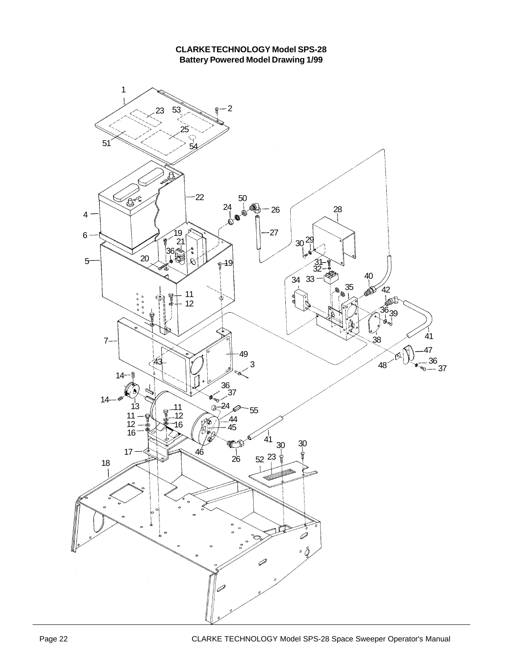

#### **CLARKE TECHNOLOGY Model SPS-28 Battery Powered Model Drawing 1/99**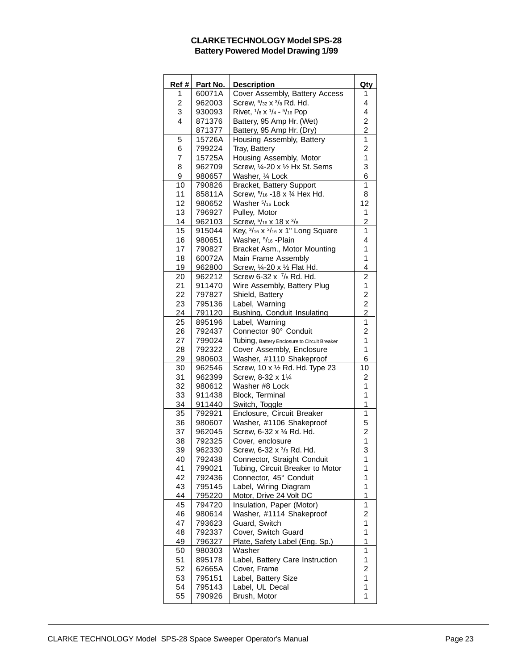#### **CLARKE TECHNOLOGY Model SPS-28 Battery Powered Model Drawing 1/99**

| Ref # | Part No.      | <b>Description</b>                           | Qty                     |
|-------|---------------|----------------------------------------------|-------------------------|
| 1     | 60071A        | Cover Assembly, Battery Access               | 1                       |
| 2     | 962003        | Screw, 6/32 x 3/8 Rd. Hd.                    | 4                       |
| 3     | 930093        | Rivet, 1/8 x 1/4 - 5/16 Pop                  | 4                       |
| 4     | 871376        | Battery, 95 Amp Hr. (Wet)                    | 2                       |
|       | 871377        | Battery, 95 Amp Hr. (Dry)                    | $\overline{c}$          |
| 5     | 15726A        | Housing Assembly, Battery                    | 1                       |
| 6     | 799224        | Tray, Battery                                | $\overline{c}$          |
| 7     | 15725A        | Housing Assembly, Motor                      | 1                       |
| 8     | 962709        | Screw, 1/4-20 x 1/2 Hx St. Sems              | 3                       |
|       |               |                                              |                         |
| 9     | 980657        | Washer, 1/4 Lock                             | 6                       |
| 10    | 790826        | Bracket, Battery Support                     | 1                       |
| 11    | 85811A        | Screw, 5/16 - 18 x 3/4 Hex Hd.               | 8                       |
| 12    | 980652        | Washer 5/16 Lock                             | 12                      |
| 13    | 796927        | Pulley, Motor                                | 1                       |
| 14    | 962103        | Screw, 5/16 x 18 x 3/8                       | 2                       |
| 15    | 915044        | Key, 3/16 x 3/16 x 1" Long Square            | 1                       |
| 16    | 980651        | Washer, 5/16 - Plain                         | 4                       |
| 17    | 790827        | Bracket Asm., Motor Mounting                 | 1                       |
| 18    | 60072A        | Main Frame Assembly                          | 1                       |
| 19    | 962800        | Screw, 1/4-20 x 1/2 Flat Hd.                 | 4                       |
| 20    | 962212        | Screw 6-32 x 7/8 Rd. Hd.                     | $\overline{c}$          |
| 21    | 911470        | Wire Assembly, Battery Plug                  | 1                       |
| 22    | 797827        | Shield, Battery                              | $\overline{\mathbf{c}}$ |
| 23    | 795136        | Label, Warning                               | $\overline{\mathbf{c}}$ |
| 24    | 791120        | <b>Bushing, Conduit Insulating</b>           | $\overline{2}$          |
| 25    | 895196        | Label, Warning                               | 1                       |
| 26    | 792437        | Connector 90° Conduit                        | $\overline{c}$          |
|       |               |                                              |                         |
| 27    | 799024        | Tubing, Battery Enclosure to Circuit Breaker | 1                       |
| 28    | 792322        | Cover Assembly, Enclosure                    | 1                       |
| 29    | 980603        | Washer, #1110 Shakeproof                     | 6                       |
| 30    | 962546        | Screw, 10 x 1/2 Rd. Hd. Type 23              | 10                      |
| 31    | 962399        | Screw, 8-32 x 11/4                           | 2                       |
| 32    | 980612        | Washer #8 Lock                               | 1                       |
| 33    | 911438        | Block, Terminal                              | 1                       |
| 34    | 911440        | Switch, Toggle                               | 1                       |
| 35    | 792921        | Enclosure, Circuit Breaker                   | 1                       |
| 36    | 980607        | Washer, #1106 Shakeproof                     | 5                       |
| 37    | 962045        | Screw, 6-32 x 1/4 Rd. Hd.                    | 2                       |
| 38    | 792325        | Cover, enclosure                             | 1                       |
| 39    | 962330        | Screw, 6-32 x 3/8 Rd. Hd.                    | 3                       |
| 40    | 792438        | Connector, Straight Conduit                  | 1                       |
| 41    | 799021        | Tubing, Circuit Breaker to Motor             | 1                       |
| 42    | 792436        | Connector, 45° Conduit                       | 1                       |
| 43    | 795145        | Label, Wiring Diagram                        | 1                       |
| 44    | <u>795220</u> | Motor, Drive 24 Volt DC                      | 1                       |
| 45    | 794720        | Insulation, Paper (Motor)                    | 1                       |
| 46    | 980614        | Washer, #1114 Shakeproof                     | $\overline{c}$          |
| 47    | 793623        | Guard, Switch                                | 1                       |
| 48    | 792337        | Cover, Switch Guard                          | 1                       |
| 49    | 796327        | Plate, Safety Label (Eng. Sp.)               | 1                       |
|       |               | Washer                                       | 1                       |
| 50    | 980303        |                                              |                         |
| 51    | 895178        | Label, Battery Care Instruction              | 1                       |
| 52    | 62665A        | Cover, Frame                                 | 2                       |
| 53    | 795151        | Label, Battery Size                          | 1                       |
| 54    | 795143        | Label, UL Decal                              | 1                       |
| 55    | 790926        | Brush, Motor                                 | 1                       |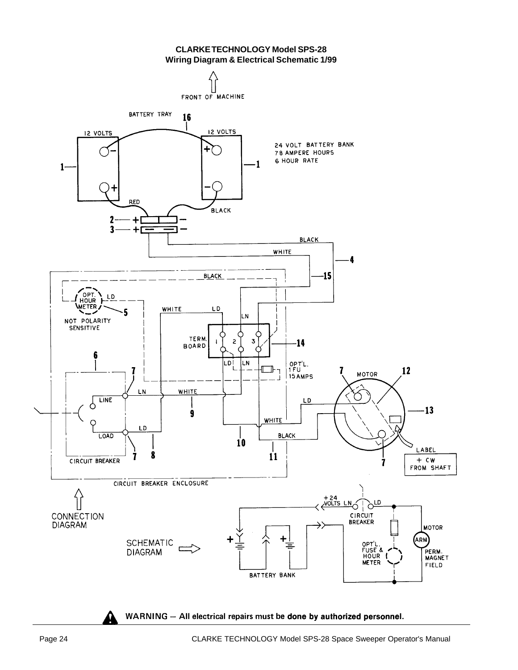**CLARKE TECHNOLOGY Model SPS-28 Wiring Diagram & Electrical Schematic 1/99**



WARNING - All electrical repairs must be done by authorized personnel.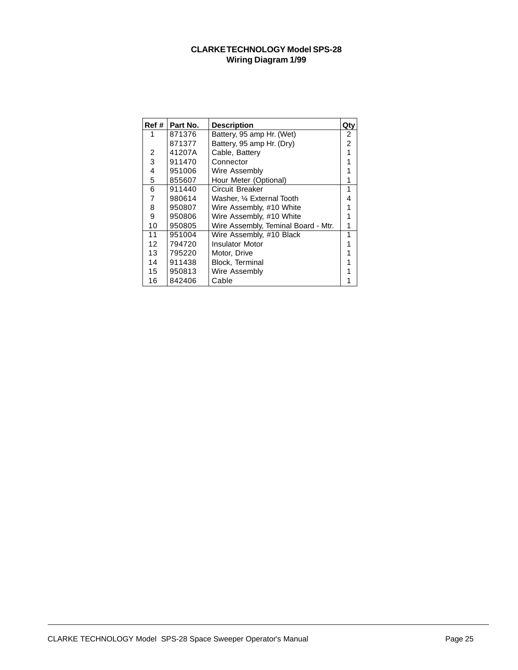#### **CLARKE TECHNOLOGY Model SPS-28 Wiring Diagram 1/99**

| Ref #             | Part No. | <b>Description</b>                  | Qty            |
|-------------------|----------|-------------------------------------|----------------|
|                   | 871376   | Battery, 95 amp Hr. (Wet)           | 2              |
|                   | 871377   | Battery, 95 amp Hr. (Dry)           | $\overline{2}$ |
| 2                 | 41207A   | Cable, Battery                      |                |
| 3                 | 911470   | Connector                           |                |
| 4                 | 951006   | Wire Assembly                       |                |
| 5                 | 855607   | Hour Meter (Optional)               |                |
| 6                 | 911440   | Circuit Breaker                     | 1              |
| 7                 | 980614   | Washer, 1/4 External Tooth          | 4              |
| 8                 | 950807   | Wire Assembly, #10 White            |                |
| 9                 | 950806   | Wire Assembly, #10 White            |                |
| 10                | 950805   | Wire Assembly, Teminal Board - Mtr. | 1              |
| 11                | 951004   | Wire Assembly, #10 Black            | 1              |
| $12 \overline{ }$ | 794720   | <b>Insulator Motor</b>              |                |
| 13                | 795220   | Motor, Drive                        |                |
| 14                | 911438   | Block, Terminal                     |                |
| 15                | 950813   | Wire Assembly                       |                |
| 16                | 842406   | Cable                               |                |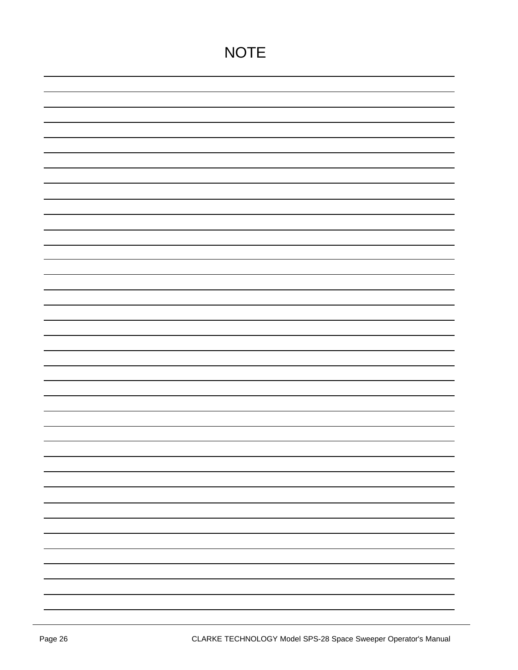| <b>NOTE</b> |
|-------------|
|             |
|             |
|             |
|             |
|             |
|             |
|             |
|             |
|             |
|             |
|             |
|             |
|             |
|             |
|             |
|             |
|             |
|             |
|             |
|             |
|             |
|             |
|             |
|             |
|             |
|             |
|             |
|             |
|             |
|             |
|             |
|             |
|             |
|             |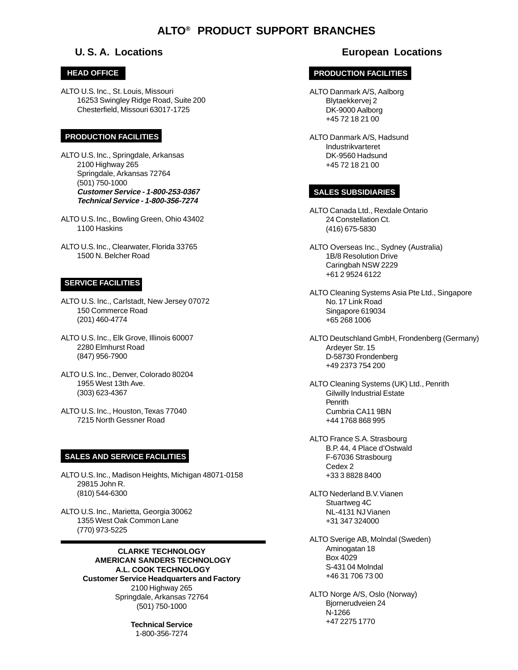# **ALTO® PRODUCT SUPPORT BRANCHES**

#### **HEAD OFFICE**

ALTO U.S. Inc., St. Louis, Missouri 16253 Swingley Ridge Road, Suite 200 Chesterfield, Missouri 63017-1725

#### **PRODUCTION FACILITIES**

ALTO U.S. Inc., Springdale, Arkansas 2100 Highway 265 Springdale, Arkansas 72764 (501) 750-1000 **Customer Service - 1-800-253-0367 Technical Service - 1-800-356-7274**

ALTO U.S. Inc., Bowling Green, Ohio 43402 1100 Haskins

ALTO U.S. Inc., Clearwater, Florida 33765 1500 N. Belcher Road

#### **SERVICE FACILITIES**

ALTO U.S. Inc., Carlstadt, New Jersey 07072 150 Commerce Road (201) 460-4774

ALTO U.S. Inc., Elk Grove, Illinois 60007 2280 Elmhurst Road (847) 956-7900

ALTO U.S. Inc., Denver, Colorado 80204 1955 West 13th Ave. (303) 623-4367

ALTO U.S. Inc., Houston, Texas 77040 7215 North Gessner Road

#### **SALES AND SERVICE FACILITIES**

ALTO U.S. Inc., Madison Heights, Michigan 48071-0158 29815 John R. (810) 544-6300

ALTO U.S. Inc., Marietta, Georgia 30062 1355 West Oak Common Lane (770) 973-5225

> **CLARKE TECHNOLOGY AMERICAN SANDERS TECHNOLOGY A.L. COOK TECHNOLOGY Customer Service Headquarters and Factory** 2100 Highway 265 Springdale, Arkansas 72764 (501) 750-1000

 $\sim$  COC CCC  $\sim$  28 Secolular Secolular Space Secolular Manual Page 28 Space Secolular Manual Page 27 Secolular Secolular Secolular Secolular Secolular Secolular Secolular Secolular Secolular Secolular Secolular Secolula **Technical Service** 1-800-356-7274

## **U. S. A. Locations European Locations**

#### **PRODUCTION FACILITIES**

ALTO Danmark A/S, Aalborg Blytaekkervej 2 DK-9000 Aalborg +45 72 18 21 00

ALTO Danmark A/S, Hadsund Industrikvarteret DK-9560 Hadsund +45 72 18 21 00

#### **SALES SUBSIDIARIES**

ALTO Canada Ltd., Rexdale Ontario 24 Constellation Ct. (416) 675-5830

ALTO Overseas Inc., Sydney (Australia) 1B/8 Resolution Drive Caringbah NSW 2229 +61 2 9524 6122

ALTO Cleaning Systems Asia Pte Ltd., Singapore No. 17 Link Road Singapore 619034 +65 268 1006

ALTO Deutschland GmbH, Frondenberg (Germany) Ardeyer Str. 15 D-58730 Frondenberg +49 2373 754 200

ALTO Cleaning Systems (UK) Ltd., Penrith Gilwilly Industrial Estate **Penrith** Cumbria CA11 9BN +44 1768 868 995

ALTO France S.A. Strasbourg B.P. 44, 4 Place d'Ostwald F-67036 Strasbourg Cedex 2 +33 3 8828 8400

ALTO Nederland B.V. Vianen Stuartweg 4C NL-4131 NJ Vianen +31 347 324000

ALTO Sverige AB, Molndal (Sweden) Aminogatan 18 Box 4029 S-431 04 Molndal +46 31 706 73 00

ALTO Norge A/S, Oslo (Norway) Bjornerudveien 24 N-1266 +47 2275 1770